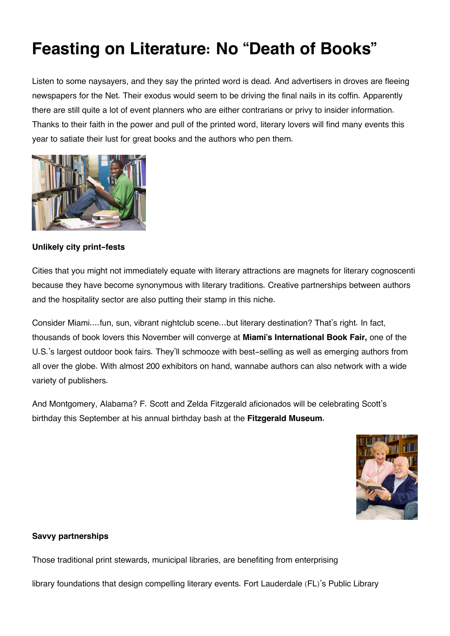# **Feasting on Literature: No "Death of Books"**

Listen to some naysayers, and they say the printed word is dead. And advertisers in droves are fleeing newspapers for the Net. Their exodus would seem to be driving the final nails in its coffin. Apparently there are still quite a lot of event planners who are either contrarians or privy to insider information. Thanks to their faith in the power and pull of the printed word, literary lovers will find many events this year to satiate their lust for great books and the authors who pen them.



## **Unlikely city print-fests**

Cities that you might not immediately equate with literary attractions are magnets for literary cognoscenti because they have become synonymous with literary traditions. Creative partnerships between authors and the hospitality sector are also putting their stamp in this niche.

Consider Miami….fun, sun, vibrant nightclub scene…but literary destination? That's right. In fact, thousands of book lovers this November will converge at **Miami's International Book Fair,** one of the U.S.'s largest outdoor book fairs. They'll schmooze with best-selling as well as emerging authors from all over the globe. With almost 200 exhibitors on hand, wannabe authors can also network with a wide variety of publishers.

And Montgomery, Alabama? F. Scott and Zelda Fitzgerald aficionados will be celebrating Scott's birthday this September at his annual birthday bash at the **Fitzgerald Museum.**



### **Savvy partnerships**

Those traditional print stewards, municipal libraries, are benefiting from enterprising

library foundations that design compelling literary events. Fort Lauderdale (FL)'s Public Library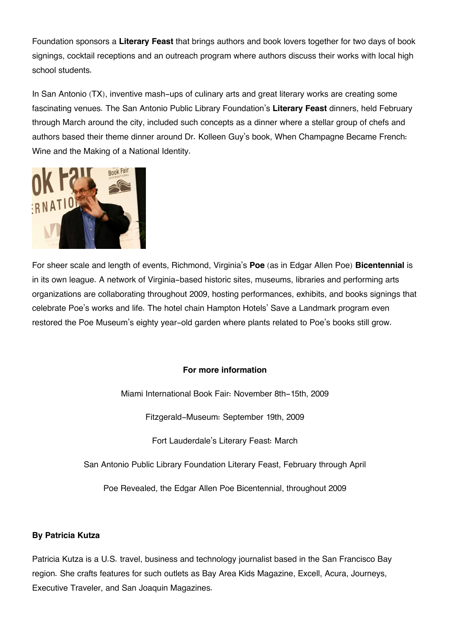Foundation sponsors a **Literary Feast** that brings authors and book lovers together for two days of book signings, cocktail receptions and an outreach program where authors discuss their works with local high school students.

In San Antonio (TX), inventive mash-ups of culinary arts and great literary works are creating some fascinating venues. The San Antonio Public Library Foundation's **Literary Feast** dinners, held February through March around the city, included such concepts as a dinner where a stellar group of chefs and authors based their theme dinner around Dr. Kolleen Guy's book, When Champagne Became French: Wine and the Making of a National Identity.



For sheer scale and length of events, Richmond, Virginia's **Poe** (as in Edgar Allen Poe) **Bicentennial** is in its own league. A network of Virginia-based historic sites, museums, libraries and performing arts organizations are collaborating throughout 2009, hosting performances, exhibits, and books signings that celebrate Poe's works and life. The hotel chain Hampton Hotels' Save a Landmark program even restored the Poe Museum's eighty year-old garden where plants related to Poe's books still grow.

### **For more information**

Miami International Book Fair: November 8th-15th, 2009

Fitzgerald-Museum: September 19th, 2009

Fort Lauderdale's Literary Feast: March

San Antonio Public Library Foundation Literary Feast, February through April

Poe Revealed, the Edgar Allen Poe Bicentennial, throughout 2009

### **By Patricia Kutza**

Patricia Kutza is a U.S. travel, business and technology journalist based in the San Francisco Bay region. She crafts features for such outlets as Bay Area Kids Magazine, Excell, Acura, Journeys, Executive Traveler, and San Joaquin Magazines.